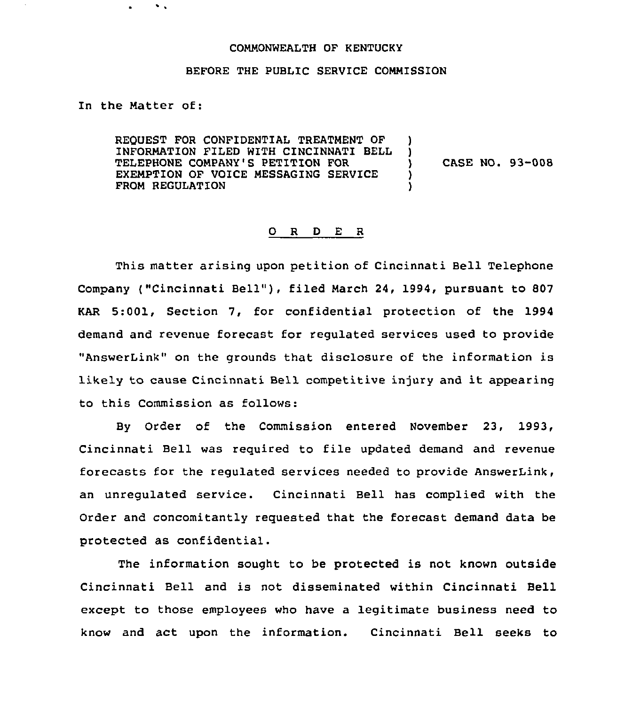## COMMONWEALTH OF KENTUCKY

## BEFORE THE PUBLIC SERVICE COMMISSION

In the Matter of:

 $\bullet$  .

REQUEST FOR CONFIDENTIAL TREATMENT OF INFORMATION FILED WITH CINCINNATI BELL TELEPHONE COMPANY'S PETITION FOR EXEMPTION OF VOICE MESSAGING SERVICE FROM REGULATION ! ) ) CASE NO. 93-008 ) )

## 0 <sup>R</sup> <sup>D</sup> E <sup>R</sup>

This matter arising upon petition of Cincinnati Bell Telephone Company ("Cincinnati Bell"), filed March 24, 1994, pursuant to 807 KAR 5:001, Section 7, for confidential protection of the 1994 demand and revenue forecast for regulated services used to provide "AnswerLink" on the grounds that disclosure of the information is likely to cause Cincinnati Bell competitive injury and it appearing to this Commission as follows:

By Order of the Commission entered November 23, 1993, Cincinnati Bell was required to file updated demand and revenue forecasts for the regulated services needed to provide AnswerLink, an unregulated service. Cincinnati Bell has complied with the Order and concomitantly requested that the forecast demand data be protected as confidential.

The information sought to be protected is not known outside Cincinnati Bell and is not disseminated within Cincinnati Bell except to those employees who have a legitimate business need to know and act upon the information. Cincinnati Bell seeks to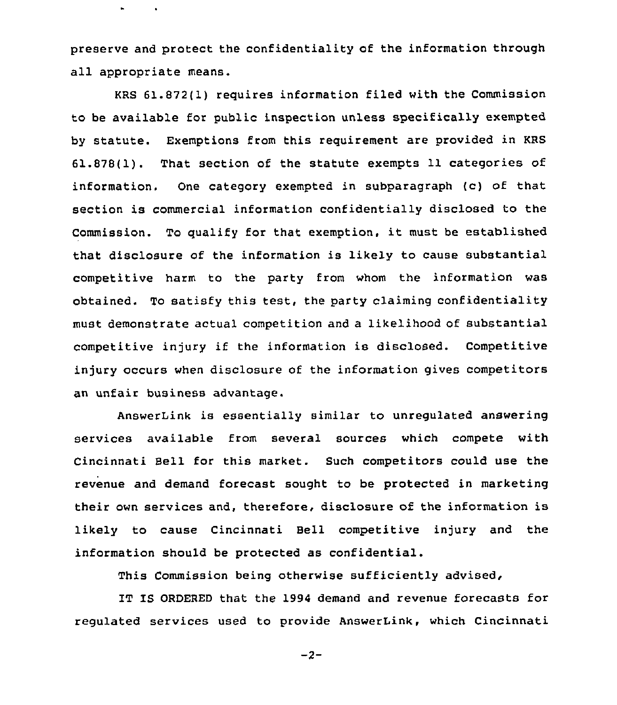preserve and protect the confidentiality of the information through all appropriate means.

KRS 61.872(1) requires information filed with the Commission to be available for public inspection unless specifically exempted by statute. Exemptions from this requirement are provided in KRS 61.878(1). That section of the statute exempts 11 categories of information. One category exempted in subparagraph (c) of that section is commercial information confidentially disclosed to the Commission. To qualify for that exemption, it must be established that disclosure of the information is likely to cause substantial competitive harm to the party from whom the information was obtained. To satisfy this test, the party claiming confidentiality must demonstrate actual competition and a likelihood of substantial competitive injury if the information is disclosed. Competitive injury occurs when disclosure of the information gives competitors an unfair business advantage.

AnswerLink is essentially similar to unregulated answering services available from several sources which compete with Cincinnati Bell for this market. Such competitors could use the revenue and demand forecast sought to be protected in marketing their own services and, therefore, disclosure of the information is likely to cause Cincinnati Bell competitive injury and the information should be protected as confidential.

This Commission being otherwise sufficiently advised,

IT IS ORDERED that the 1994 demand and revenue forecasts for regulated services used to provide AnswerLink, which Cincinnati

 $-2-$